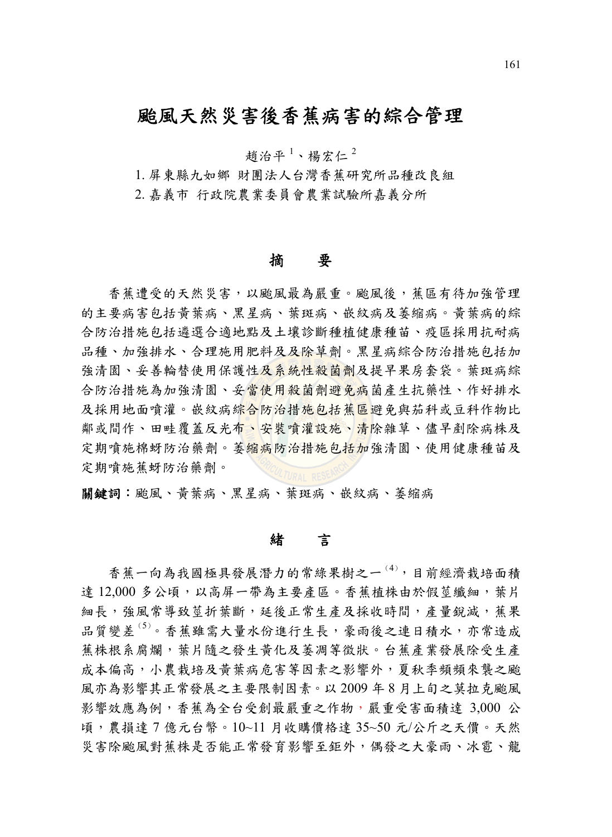# 颱風天然災害後香蕉病害的綜合管理

趙治平<sup>1</sup>、楊宏仁<sup>2</sup>

1. 屏東縣九如鄉 財團法人台灣香蕉研究所品種改良組

2. 嘉義市 行政院農業委員會農業試驗所嘉義分所

#### 摘要

香蕉遭受的天然災害,以颱風最為嚴重。颱風後,蕉區有待加強管理 的主要病害包括黃葉病、黑星病、葉斑病、嵌紋病及萎縮病。黃葉病的綜 合防治措施包括遴選合適地點及土壤診斷種植健康種苗、疫區採用抗耐病 品種、加強排水、合理施用肥料及及除草劑。黑星病綜合防治措施包括加 強清園、妥善輪替使用保護性及系統性殺菌劑及提早果房套袋。葉斑病綜 合防治措施為加強清園、妥當使用殺菌劑避免病菌產生抗藥性、作好排水 及採用地面噴灌。嵌紋病綜合防治措施包括蕉區避免與茄科或豆科作物比 鄰或間作、田畦覆蓋反光布、安裝噴灌設施、清除雜草、儘早剷除病株及 定期噴施棉蚜防治藥劑。萎縮病防治措施包括加強清園、使用健康種苗及 定期噴施蕉蚜防治藥劑。

關鍵詞:颱風、黃葉病、黑星病、葉斑病、嵌紋病、萎縮病

#### 緒言

香蕉一向為我國極具發展潛力的常綠果樹之一(<sup>4</sup>) ,目前經濟栽培面積 達 12,000 多公頃,以高屏一帶為主要產區。香蕉植株由於假莖纖細,葉片 細長,強風常導致莖折葉斷,延後正常生產及採收時間,產量銳減,舊果 品質變差<sup>(5)</sup>。香蕉雖需大量水份進行生長,豪雨後之連日積水,亦常造成 蕉株根系腐爛,葉片隨之發生黃化及萎凋等徵狀。台蕉產業發展除受生產 成本偏高,小農栽培及黃葉病危害等因素之影響外,夏秋季頻頻來襲之颱 風亦為影響其正常發展之主要限制因素。以 2009 年 8 月上旬之莫拉克颱風 影響效應為例,香蕉為全台受創最嚴重之作物,嚴重受害面積達 3,000 公 頃,農損達 7 億元台幣。10~11 月收購價格達 35~50 元/公斤之天價。天然 災害除颱風對蕉株是否能正常發育影響至鉅外,偶發之大豪雨、冰電、龍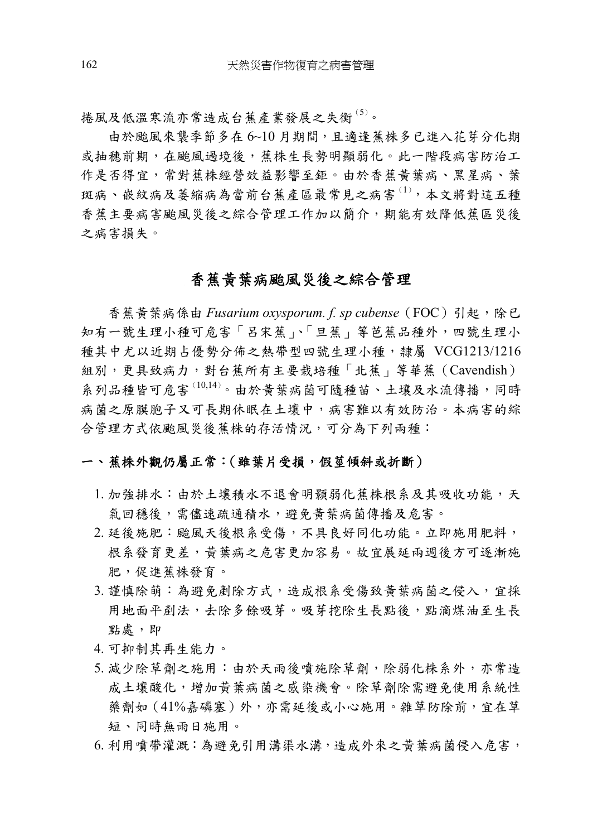捲風及低溫寒流亦常造成台蕉產業發展之失衡(<sup>5</sup>) 。

由於颱風來襲季節多在 6~10 月期間,且適逢蕉株多已進入花芽分化期 或抽穗前期,在颱風過境後,種株生長勢明顯弱化。此一階段病害防治工 作是否得宜,常對蕉株經營效益影響至鉅。由於香蕉黃葉病、黑星病、葉 斑病、嵌紋病及萎縮病為當前台蕉產區最常見之病害(1),本文將對這五種 香蕉主要病害颱風災後之綜合管理工作加以簡介,期能有效降低蕉區災後 之病害損失。

## 香蕉黃葉病颱風災後之綜合管理

香蕉黃葉病係由 Fusarium oxysporum. f. sp cubense (FOC) 引起,除已 知有一號生理小種可危害「呂宋蕉」、「旦蕉」等芭蕉品種外,四號生理小 種其中尤以近期占優勢分佈之熱帶型四號生理小種,隸屬 VCG1213/1216 組別,更具致病力,對台蕉所有主要栽培種「北蕉」等華蕉(Cavendish) 系列品種皆可危害<sup>(10,14)</sup>。由於黃葉病菌可隨種苗、土壤及水流傳播,同時 病菌之原膜胞子又可長期休眠在土壤中,病害難以有效防治。本病害的綜 合管理方式依颱風災後蕉株的存活情況,可分為下列兩種:

#### 一、 蕉株外觀仍屬正常:(雖葉片受損,假莖傾斜或折斷)

- 1. 加強排水: 由於土壤積水不退會明顥弱化蕉株根系及其吸收功能,天 氣回穩後,需儘速疏通積水,避免黃葉病菌傳播及危害。
- 2. 延後施肥:颱風天後根系受傷,不具良好同化功能。立即施用肥料, 根系發育更差,黃葉病之危害更加容易。故宜展延兩週後方可逐漸施 肥,促進蕉株發育。
- 3. 謹慎除萌:為避免剷除方式,造成根系受傷致黃葉病菌之侵入,宜採 用地面平劑法,夫除多餘吸芽。吸芽挖除生長點後,點滴煤油至生長 點處,即
- 4. 可抑制其再生能力。
- 5. 減少除草劑之施用: 由於天雨後噴施除草劑, 除弱化株系外, 亦常造 成土壤酸化,增加黃葉病菌之感染機會。除草劑除需避免使用系統性 藥劑如(41%嘉磷塞)外,亦需延後或小心施用。雜草防除前,宜在草 短、同時無雨日施用。
- 6. 利用噴帶灌溉:為避免引用溝渠水溝,造成外來之黃葉病菌侵入危害,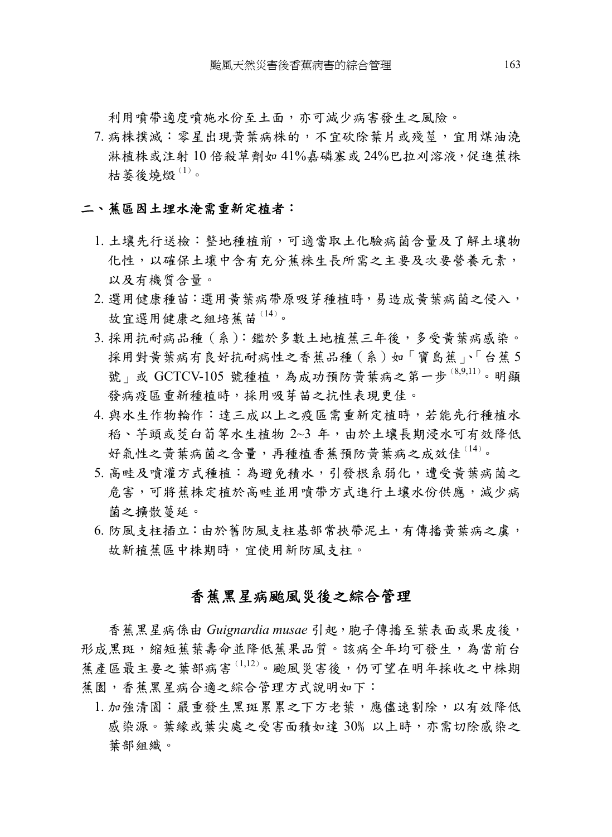利用噴帶適度噴施水份至土面,亦可減少病害發生之風險。

7. 病株撲滅:零星出現黃葉病株的,不宜砍除葉片或殘莖,宜用煤油澆 淋植株或注射 10 倍殺草劑如 41%嘉磷塞或 24%巴拉刈溶液,促進蕉株 枯萎後燒燬 $^{(1)}$ 。

#### 二、蕉區因土埋水淹需重新定植者:

- 1. 土壤先行送檢:整地種植前,可適當取土化驗病菌含量及了解土壤物 化性,以確保土壤中含有充分蕉株生長所需之主要及次要營養元素, 以及有機質含量。
- 2. 選用健康種苗:選用黃葉病帶原吸芽種植時,易造成黃葉病菌之侵入, 故宜選用健康之組培蕉苗(14)。
- 3. 採用抗耐病品種(系):鑑於多數土地植蕉三年後,多受黃葉病感染。 採用對黃葉病有良好抗耐病性之香蕉品種(系)如「寶島蕉」、「台蕉5 號」或 GCTCV-105 號種植,為成功預防黃葉病之第一步  $^{(8,9,11)}$ 。明顯 發病疫區重新種植時,採用吸芽苗之抗性表現更佳。
- 4. 與水生作物輪作:達三成以上之疫區需重新定植時,若能先行種植水 稻、芋頭或茭白荀等水生植物 2~3 年,由於土壤長期浸水可有效降低 好氣性之黃葉病菌之含量,再種植香蕉預防黃葉病之成效佳 (14)。
- 5. 高畦及噴灌方式種植: 為避免積水, 引發根系弱化,遭受黃葉病菌之 危害,可將蕉株定植於高畦並用噴帶方式進行土壤水份供應,減少病 菌之擴散蔓延。
- 6. 防風支柱插立:由於舊防風支柱基部常挾帶泥土,有傳播黃葉病之虞, 故新植蕉區中株期時,宜使用新防風支柱。

## 香蕉黑星病颱風災後之綜合管理

香蕉黑星病係由 *Guignardia musae* 引起,胞子傳播至葉表面或果皮後, 形成黑斑,縮短蕉葉壽命並降低蕉果品質。該病全年均可發生,為當前台 蕉產區最主要之葉部病害(1,12) 。颱風災害後,仍可望在明年採收之中株期 蕉園,香蕉黑星病合適之綜合管理方式說明如下:

1. 加強清園:嚴重發生黑斑累累之下方老葉,應儘速割除,以有效降低 感染源。葉緣或葉尖處之受害面積如達 30﹪以上時,亦需切除感染之 葉部組織。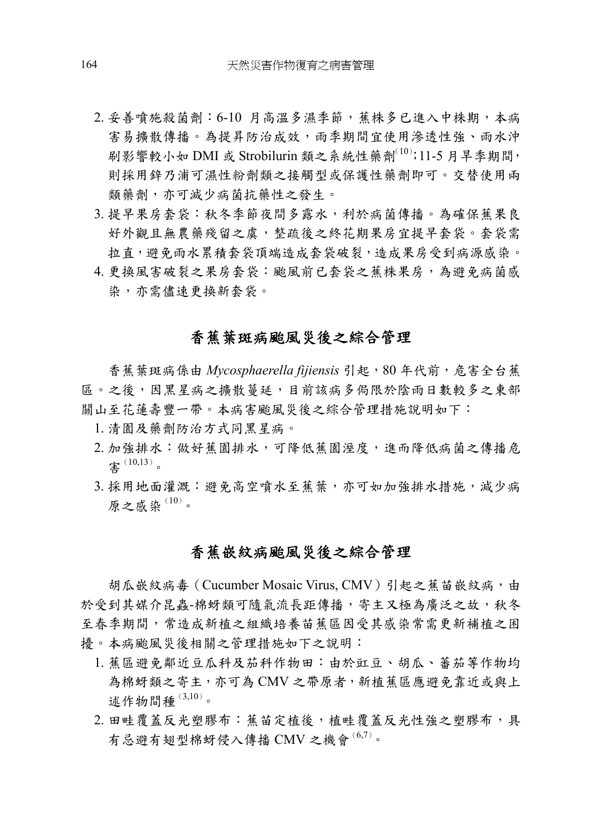- 2. 妥善噴施殺菌劑:6-10 月高溫多濕季節,蕉株多已進入中株期,本病 害易擴散傳播。為提昇防治成效,雨季期間宜使用滲透性強、雨水沖 刷影響較小如 DMI 或 Strobilurin 類之系統性藥劑 $^{(10)}$ ;11-5 月旱季期間, 則採用鋅乃浦可濕性粉劑類之接觸型或保護性藥劑即可。交替使用兩 類藥劑,亦可減少病菌抗藥性之發生。
- 3. 提早果房套袋:秋冬季節夜間多露水,利於病菌傳播。為確保蕉果良 好外觀且無農藥殘留之虞,整疏後之終花期果房宜提早套袋。套袋需 拉直,避免雨水累積套袋頂端造成套袋破裂,造成果房受到病源感染。
- 4. 更換風害破裂之果房套袋:颱風前已套袋之蕉株果房,為避免病菌感 染,亦需儘速更換新套袋。

## 香蕉葉斑病颱風災後之綜合管理

香蕉葉斑病係由 Mycosphaerella fijiensis 引起,80 年代前,危害全台蕉 區。之後,因黑星病之擴散蔓延,目前該病多侷限於陰雨日數較多之東部 關山至花蓮壽豐一帶。本病害颱風災後之綜合管理措施說明如下:

- 1. 清園及藥劑防治方式同黑星病。
- 2. 加強排水: 做好蕉園排水, 可降低蕉園溼度, 進而降低病菌之傳播危 害(10,13) 。
- 3. 採用地面灌溉:避免高空噴水至蕉葉,亦可如加強排水措施,減少病 原之感染 $(10)$ 。

### 香蕉嵌紋病颱風災後之綜合管理

胡瓜嵌紋病毒 (Cucumber Mosaic Virus, CMV)引起之蕉苗嵌紋病,由 於受到其媒介昆蟲-棉蚜類可隨氣流長距傳播,寄主又極為廣泛之故,秋冬 至春季期間,常造成新植之組織培養苗萑區因受其感染常需更新補植之困 擾。本病颱風災後相關之管理措施如下之說明:

- 1. 蕉區避免鄰近豆瓜科及茄科作物田:由於豇豆、胡瓜、蕃茄等作物均 為棉蚜類之寄主,亦可為 CMV 之帶原者,新植蕉區應避免靠近或與上 述作物間種 $^{(3,10)}$ 。
- 2. 田畦覆蓋反光塑膠布: 蕉苗定植後, 植畦覆蓋反光性強之塑膠布, 具 有忌避有翅型棉蚜侵入傳播 CMV 之機會  $^{(6,7)}$ 。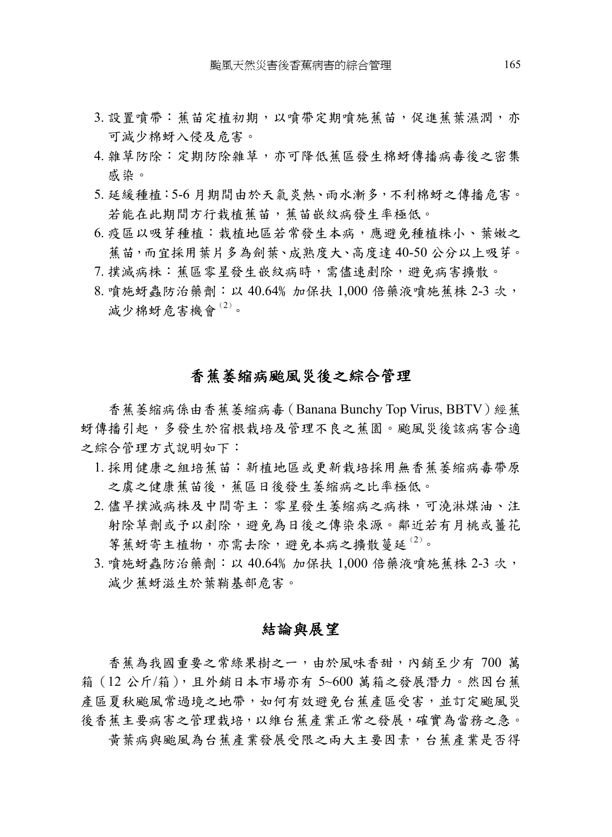- 3. 設置噴帶: 蕉苗定植初期, 以噴帶定期噴施蕉苗, 促進蕉葉濕潤, 亦 可減少棉蚜入侵及危害。
- 4. 雜草防除:定期防除雜草,亦可降低蕉區發生棉蚜傳播病毒後之密集 感染。
- 5. 延緩種植:5-6 月期間由於天氣炎熱、雨水漸多,不利棉蚜之傳播危害。 若能在此期間方行栽植蕉苗,蕉苗嵌紋病發生率極低。
- 6. 疫區以吸芽種植:栽植地區若常發生本病,應避免種植株小、葉嫩之 蕉苗,而宜採用葉片多為劍葉、成熟度大、高度達 40-50 公分以上吸芽。
- 7. 撲滅病株:蕉區零星發生嵌紋病時,需儘速剷除,避免病害擴散。
- 8. 噴施蚜蟲防治藥劑:以 40.64﹪加保扶 1,000 倍藥液噴施蕉株 2-3 次, 減少棉蚜危害機會(2)。

#### 香蕉萎縮病颱風災後之綜合管理

香蕉萎縮病係由香蕉萎縮病毒(Banana Bunchy Top Virus, BBTV)經蕉 蚜傳播引起,多發生於宿根栽培及管理不良之蕉園。颱風災後該病害合適 之綜合管理方式說明如下:

- 1. 採用健康之組培蕉苗:新植地區或更新栽培採用無香蕉萎縮病毒帶原 之虞之健康蕉苗後,蕉區日後發生萎縮病之比率極低。
- 2. 儘早撲滅病株及中間寄主:零星發生萎縮病之病株,可澆淋煤油、注 射除草劑或予以剷除,避免為日後之傳染來源。鄰近若有月桃或薑花 等蕉蚜寄主植物,亦需去除,避免本病之擴散蔓延 $^{(2)}$ 。
- 3. 噴施蚜蟲防治藥劑:以 40.64﹪加保扶 1,000 倍藥液噴施蕉株 2-3 次, 減少蕉蚜滋生於葉鞘基部危害。

#### 結論與展望

香蕉為我國重要之常綠果樹之一,由於風味香甜,內銷至少有 700 萬 箱(12 公斤/箱),且外銷日本市場亦有 5~600 萬箱之發展潛力。然因台蕉 產區夏秋颱風常過境之地帶,如何有效避免台蕉產區受害,並訂定颱風災 後香蕉主要病害之管理栽培,以維台蕉產業正常之發展,確實為當務之急。

黃葉病與颱風為台蕉產業發展受限之兩大主要因素,台蕉產業是否得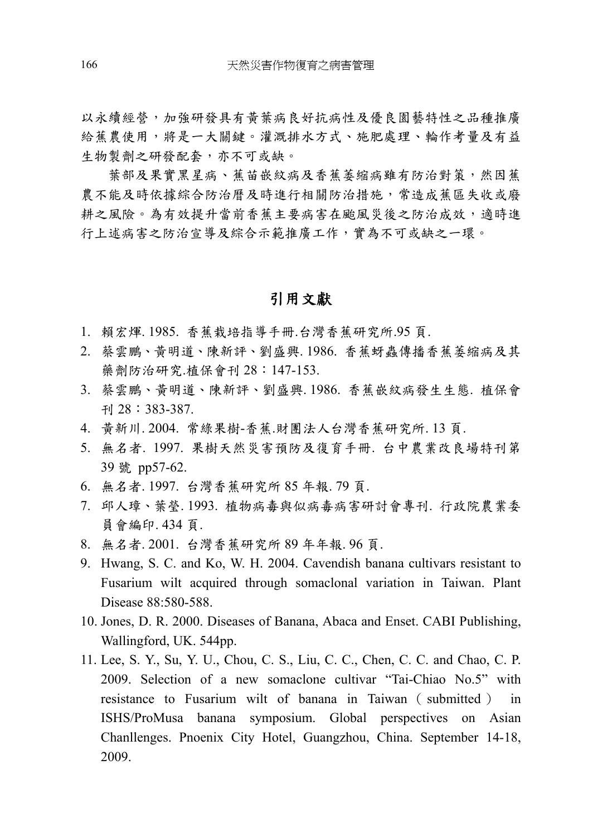以永續經營,加強研發具有黃葉病良好抗病性及優良園藝特性之品種推廣 給蕉農使用,將是一大關鍵。灌溉排水方式、施肥處理、輪作考量及有益 生物製劑之研發配套,亦不可或缺。

葉部及果實黑星病、蕉苗嵌紋病及香蕉萎縮病雖有防治對策,然因蕉 農不能及時依據綜合防治曆及時進行相關防治措施,常造成蕉區失收或廢 耕之風險。為有效提升當前香蕉主要病害在颱風災後之防治成效,適時進 行上述病害之防治宣導及綜合示範推廣工作,實為不可或缺之一環。

## 引用文獻

- 1. 賴宏煇. 1985. 香蕉栽培指導手冊.台灣香蕉研究所.95 頁.
- 2. 蔡雲鵬、黃明道、陳新評、劉盛興. 1986. 香蕉蚜蟲傳播香蕉萎縮病及其 藥劑防治研究.植保會刊 28:147-153.
- 3. 蔡雲鵬、黃明道、陳新評、劉盛興. 1986. 香蕉嵌紋病發生生態. 植保會 刊 28:383-387.
- 4. 黃新川. 2004. 常綠果樹-香蕉.財團法人台灣香蕉研究所. 13 頁.
- 5. 無名者. 1997. 果樹天然災害預防及復育手冊. 台中農業改良場特刊第 39 號 pp57-62.
- 6. 無名者. 1997. 台灣香蕉研究所 85 年報. 79 頁.
- 7. 邱人璋、葉瑩. 1993. 植物病毒與似病毒病害研討會專刊. 行政院農業委 員會編印. 434 頁.
- 8. 無名者. 2001. 台灣香蕉研究所 89 年年報. 96 頁.
- 9. Hwang, S. C. and Ko, W. H. 2004. Cavendish banana cultivars resistant to Fusarium wilt acquired through somaclonal variation in Taiwan. Plant Disease 88:580-588.
- 10. Jones, D. R. 2000. Diseases of Banana, Abaca and Enset. CABI Publishing, Wallingford, UK. 544pp.
- 11. Lee, S. Y., Su, Y. U., Chou, C. S., Liu, C. C., Chen, C. C. and Chao, C. P. 2009. Selection of a new somaclone cultivar "Tai-Chiao No.5" with resistance to Fusarium wilt of banana in Taiwan ( submitted ) in ISHS/ProMusa banana symposium. Global perspectives on Asian Chanllenges. Pnoenix City Hotel, Guangzhou, China. September 14-18, 2009.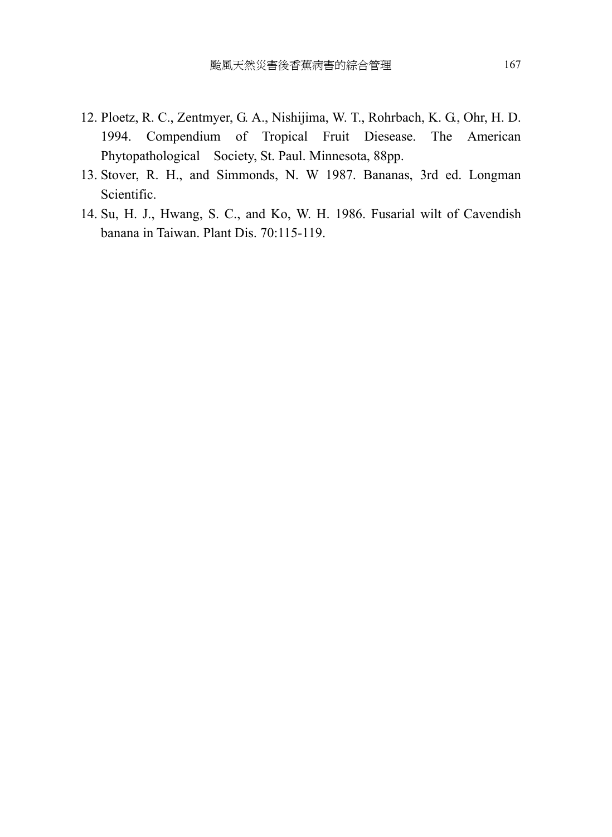- 12. Ploetz, R. C., Zentmyer, G. A., Nishijima, W. T., Rohrbach, K. G., Ohr, H. D. 1994. Compendium of Tropical Fruit Diesease. The American Phytopathological Society, St. Paul. Minnesota, 88pp.
- 13. Stover, R. H., and Simmonds, N. W 1987. Bananas, 3rd ed. Longman Scientific.
- 14. Su, H. J., Hwang, S. C., and Ko, W. H. 1986. Fusarial wilt of Cavendish banana in Taiwan. Plant Dis. 70:115-119.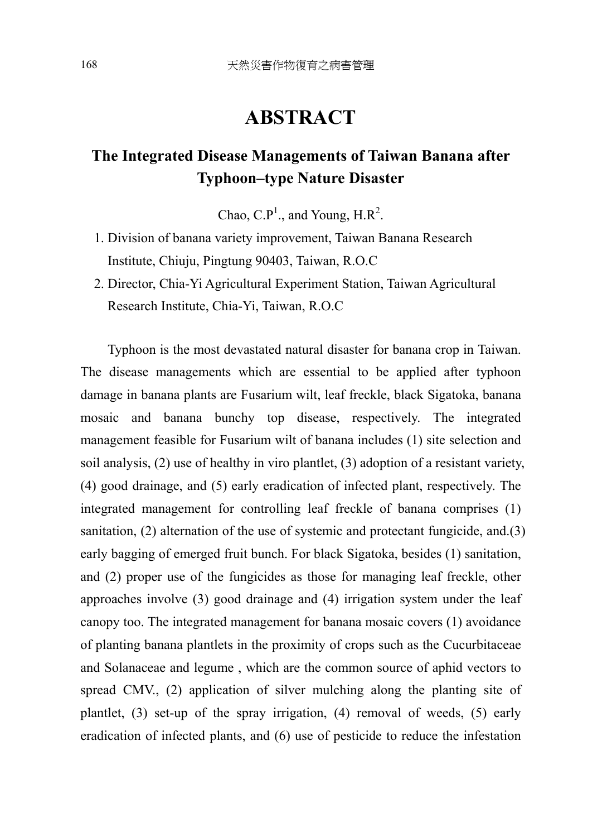# **ABSTRACT**

# **The Integrated Disease Managements of Taiwan Banana after Typhoon–type Nature Disaster**

Chao, C.P<sup>1</sup>., and Young, H.R<sup>2</sup>.

- 1. Division of banana variety improvement, Taiwan Banana Research Institute, Chiuju, Pingtung 90403, Taiwan, R.O.C
- 2. Director, Chia-Yi Agricultural Experiment Station, Taiwan Agricultural Research Institute, Chia-Yi, Taiwan, R.O.C

Typhoon is the most devastated natural disaster for banana crop in Taiwan. The disease managements which are essential to be applied after typhoon damage in banana plants are Fusarium wilt, leaf freckle, black Sigatoka, banana mosaic and banana bunchy top disease, respectively. The integrated management feasible for Fusarium wilt of banana includes (1) site selection and soil analysis, (2) use of healthy in viro plantlet, (3) adoption of a resistant variety, (4) good drainage, and (5) early eradication of infected plant, respectively. The integrated management for controlling leaf freckle of banana comprises (1) sanitation, (2) alternation of the use of systemic and protectant fungicide, and.(3) early bagging of emerged fruit bunch. For black Sigatoka, besides (1) sanitation, and (2) proper use of the fungicides as those for managing leaf freckle, other approaches involve (3) good drainage and (4) irrigation system under the leaf canopy too. The integrated management for banana mosaic covers (1) avoidance of planting banana plantlets in the proximity of crops such as the Cucurbitaceae and Solanaceae and legume , which are the common source of aphid vectors to spread CMV., (2) application of silver mulching along the planting site of plantlet, (3) set-up of the spray irrigation, (4) removal of weeds, (5) early eradication of infected plants, and (6) use of pesticide to reduce the infestation